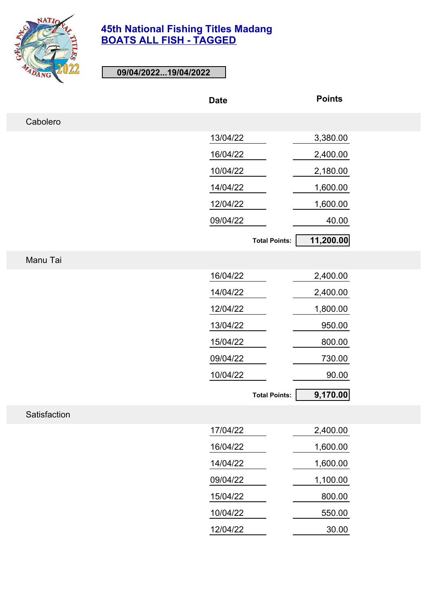

**09/04/2022...19/04/2022**

|              | <b>Date</b>          | <b>Points</b> |
|--------------|----------------------|---------------|
| Cabolero     |                      |               |
|              | 13/04/22             | 3,380.00      |
|              | 16/04/22             | 2,400.00      |
|              | 10/04/22             | 2,180.00      |
|              | 14/04/22             | 1,600.00      |
|              | 12/04/22             | 1,600.00      |
|              | 09/04/22             | 40.00         |
|              | <b>Total Points:</b> | 11,200.00     |
| Manu Tai     |                      |               |
|              | 16/04/22             | 2,400.00      |
|              | 14/04/22             | 2,400.00      |
|              | 12/04/22             | 1,800.00      |
|              | 13/04/22             | 950.00        |
|              | 15/04/22             | 800.00        |
|              | 09/04/22             | 730.00        |
|              | 10/04/22             | 90.00         |
|              | <b>Total Points:</b> | 9,170.00      |
| Satisfaction |                      |               |
|              | 17/04/22             | 2,400.00      |
|              | 16/04/22             | 1,600.00      |
|              | 14/04/22             | 1,600.00      |
|              | 09/04/22             | 1,100.00      |
|              | 15/04/22             | 800.00        |
|              | 10/04/22             | 550.00        |

12/04/22 30.00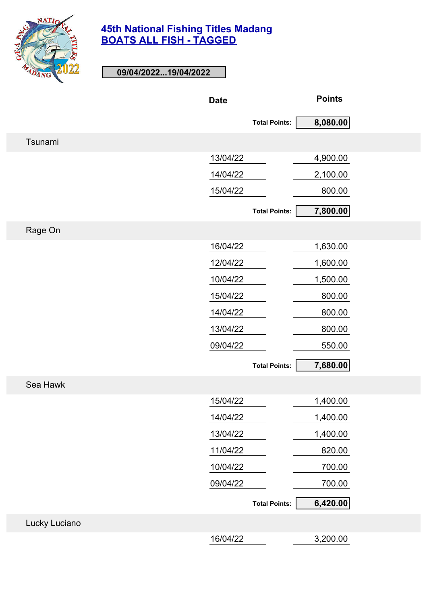

**09/04/2022...19/04/2022**

|               | <b>Date</b> |                      | <b>Points</b> |
|---------------|-------------|----------------------|---------------|
|               |             | <b>Total Points:</b> | 8,080.00      |
| Tsunami       |             |                      |               |
|               | 13/04/22    |                      | 4,900.00      |
|               | 14/04/22    |                      | 2,100.00      |
|               | 15/04/22    |                      | 800.00        |
|               |             | <b>Total Points:</b> | 7,800.00      |
| Rage On       |             |                      |               |
|               | 16/04/22    |                      | 1,630.00      |
|               | 12/04/22    |                      | 1,600.00      |
|               | 10/04/22    |                      | 1,500.00      |
|               | 15/04/22    |                      | 800.00        |
|               | 14/04/22    |                      | 800.00        |
|               | 13/04/22    |                      | 800.00        |
|               | 09/04/22    |                      | 550.00        |
|               |             | <b>Total Points:</b> | 7,680.00      |
| Sea Hawk      |             |                      |               |
|               | 15/04/22    |                      | 1,400.00      |
|               | 14/04/22    |                      | 1,400.00      |
|               | 13/04/22    |                      | 1,400.00      |
|               | 11/04/22    |                      | 820.00        |
|               | 10/04/22    |                      | 700.00        |
|               | 09/04/22    |                      | 700.00        |
|               |             | <b>Total Points:</b> | 6,420.00      |
| Lucky Luciano |             |                      |               |
|               | 16/04/22    |                      | 3,200.00      |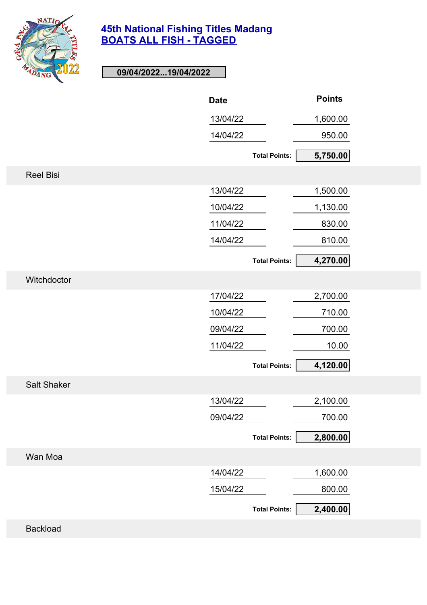

# **09/04/2022...19/04/2022**

|                    | <b>Date</b> |                      | <b>Points</b> |
|--------------------|-------------|----------------------|---------------|
|                    | 13/04/22    |                      | 1,600.00      |
|                    | 14/04/22    |                      | 950.00        |
|                    |             | <b>Total Points:</b> | 5,750.00      |
| <b>Reel Bisi</b>   |             |                      |               |
|                    | 13/04/22    |                      | 1,500.00      |
|                    | 10/04/22    |                      | 1,130.00      |
|                    | 11/04/22    |                      | 830.00        |
|                    | 14/04/22    |                      | 810.00        |
|                    |             | <b>Total Points:</b> | 4,270.00      |
| Witchdoctor        |             |                      |               |
|                    | 17/04/22    |                      | 2,700.00      |
|                    | 10/04/22    |                      | 710.00        |
|                    | 09/04/22    |                      | 700.00        |
|                    | 11/04/22    |                      | 10.00         |
|                    |             | <b>Total Points:</b> | 4,120.00      |
| <b>Salt Shaker</b> |             |                      |               |
|                    | 13/04/22    |                      | 2,100.00      |
|                    | 09/04/22    |                      | 700.00        |
|                    |             | <b>Total Points:</b> | 2,800.00      |
| Wan Moa            |             |                      |               |
|                    | 14/04/22    |                      | 1,600.00      |
|                    | 15/04/22    |                      | 800.00        |
|                    |             | <b>Total Points:</b> | 2,400.00      |
| <b>Backload</b>    |             |                      |               |